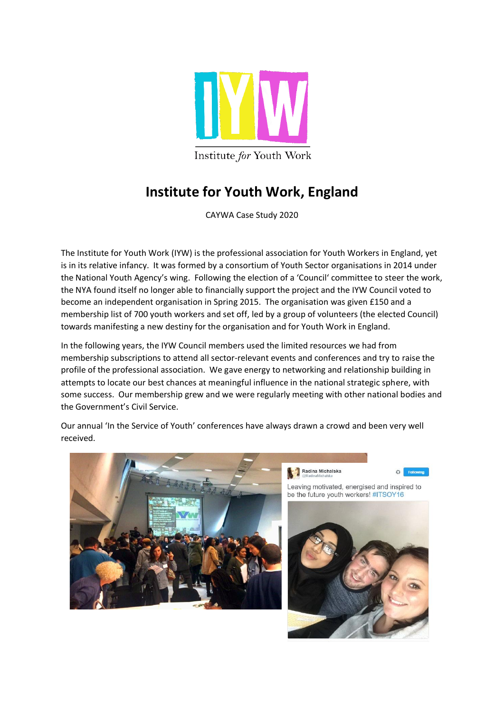

## **Institute for Youth Work, England**

CAYWA Case Study 2020

The Institute for Youth Work (IYW) is the professional association for Youth Workers in England, yet is in its relative infancy. It was formed by a consortium of Youth Sector organisations in 2014 under the National Youth Agency's wing. Following the election of a 'Council' committee to steer the work, the NYA found itself no longer able to financially support the project and the IYW Council voted to become an independent organisation in Spring 2015. The organisation was given £150 and a membership list of 700 youth workers and set off, led by a group of volunteers (the elected Council) towards manifesting a new destiny for the organisation and for Youth Work in England.

In the following years, the IYW Council members used the limited resources we had from membership subscriptions to attend all sector-relevant events and conferences and try to raise the profile of the professional association. We gave energy to networking and relationship building in attempts to locate our best chances at meaningful influence in the national strategic sphere, with some success. Our membership grew and we were regularly meeting with other national bodies and the Government's Civil Service.

Our annual 'In the Service of Youth' conferences have always drawn a crowd and been very well received.